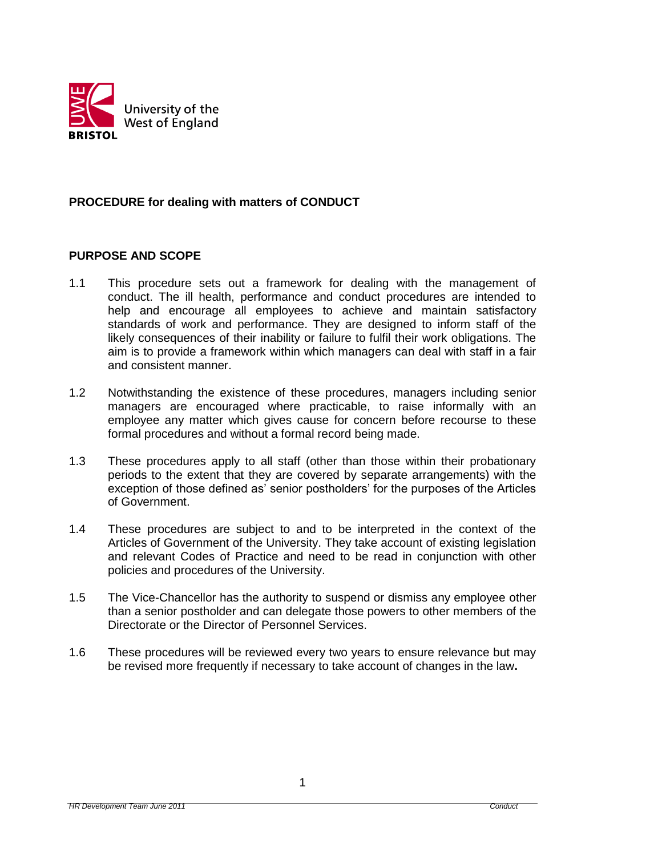

#### **PROCEDURE for dealing with matters of CONDUCT**

#### **PURPOSE AND SCOPE**

- 1.1 This procedure sets out a framework for dealing with the management of conduct. The ill health, performance and conduct procedures are intended to help and encourage all employees to achieve and maintain satisfactory standards of work and performance. They are designed to inform staff of the likely consequences of their inability or failure to fulfil their work obligations. The aim is to provide a framework within which managers can deal with staff in a fair and consistent manner.
- 1.2 Notwithstanding the existence of these procedures, managers including senior managers are encouraged where practicable, to raise informally with an employee any matter which gives cause for concern before recourse to these formal procedures and without a formal record being made.
- 1.3 These procedures apply to all staff (other than those within their probationary periods to the extent that they are covered by separate arrangements) with the exception of those defined as' senior postholders' for the purposes of the Articles of Government.
- 1.4 These procedures are subject to and to be interpreted in the context of the Articles of Government of the University. They take account of existing legislation and relevant Codes of Practice and need to be read in conjunction with other policies and procedures of the University.
- 1.5 The Vice-Chancellor has the authority to suspend or dismiss any employee other than a senior postholder and can delegate those powers to other members of the Directorate or the Director of Personnel Services.
- 1.6 These procedures will be reviewed every two years to ensure relevance but may be revised more frequently if necessary to take account of changes in the law**.**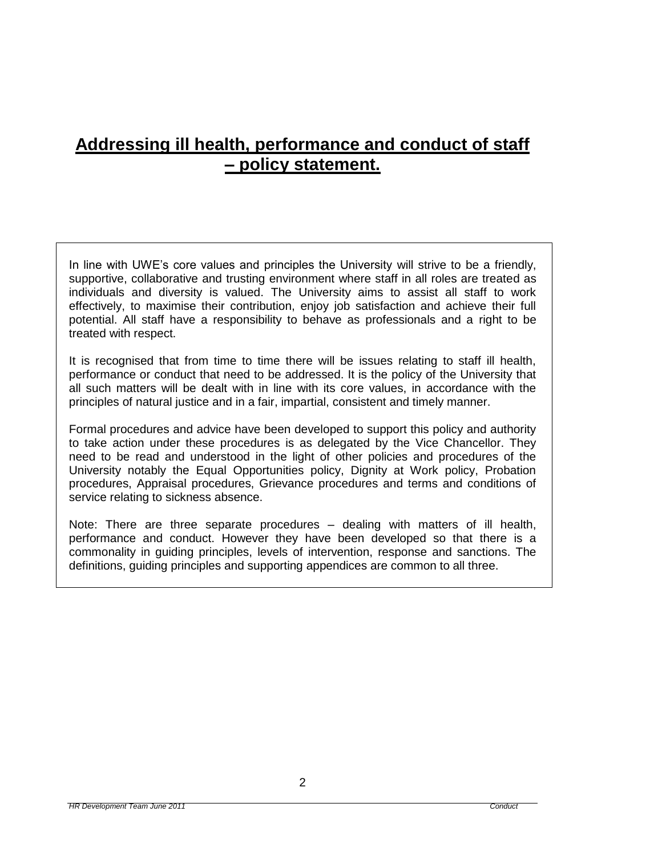# **Addressing ill health, performance and conduct of staff – policy statement.**

In line with UWE's core values and principles the University will strive to be a friendly, supportive, collaborative and trusting environment where staff in all roles are treated as individuals and diversity is valued. The University aims to assist all staff to work effectively, to maximise their contribution, enjoy job satisfaction and achieve their full potential. All staff have a responsibility to behave as professionals and a right to be treated with respect.

It is recognised that from time to time there will be issues relating to staff ill health, performance or conduct that need to be addressed. It is the policy of the University that all such matters will be dealt with in line with its core values, in accordance with the principles of natural justice and in a fair, impartial, consistent and timely manner.

Formal procedures and advice have been developed to support this policy and authority to take action under these procedures is as delegated by the Vice Chancellor. They need to be read and understood in the light of other policies and procedures of the University notably the Equal Opportunities policy, Dignity at Work policy, Probation procedures, Appraisal procedures, Grievance procedures and terms and conditions of service relating to sickness absence.

Note: There are three separate procedures – dealing with matters of ill health, performance and conduct. However they have been developed so that there is a commonality in guiding principles, levels of intervention, response and sanctions. The definitions, guiding principles and supporting appendices are common to all three.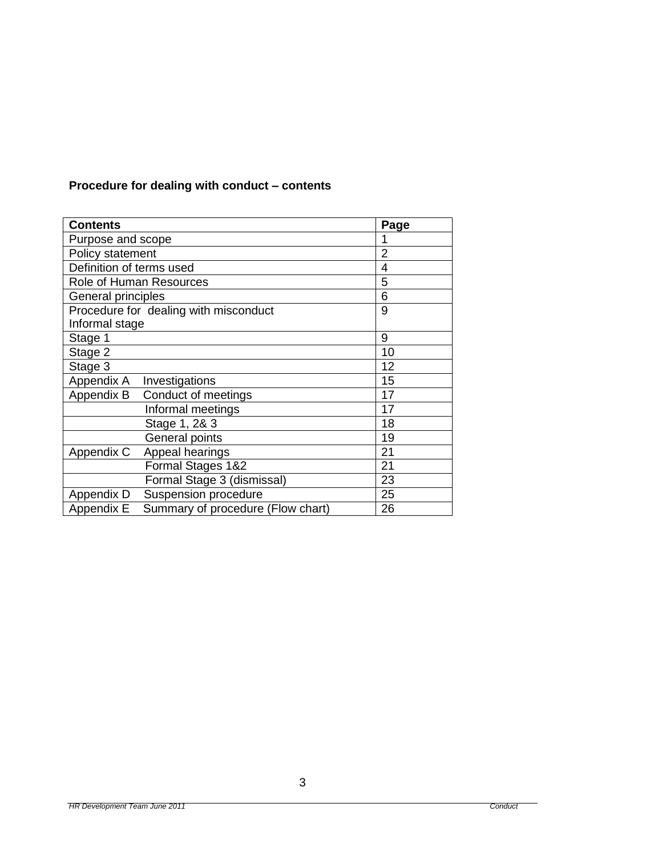## **Procedure for dealing with conduct – contents**

| <b>Contents</b>                                 | Page |
|-------------------------------------------------|------|
| Purpose and scope                               |      |
| Policy statement                                | 2    |
| Definition of terms used                        | 4    |
| Role of Human Resources                         | 5    |
| General principles                              | 6    |
| Procedure for dealing with misconduct           | 9    |
| Informal stage                                  |      |
| Stage 1                                         | 9    |
| Stage 2                                         | 10   |
| Stage 3                                         | 12   |
| Appendix A<br>Investigations                    | 15   |
| Conduct of meetings<br>Appendix B               | 17   |
| Informal meetings                               | 17   |
| Stage 1, 2& 3                                   | 18   |
| General points                                  | 19   |
| Appendix C<br>Appeal hearings                   | 21   |
| Formal Stages 1&2                               | 21   |
| Formal Stage 3 (dismissal)                      | 23   |
| Suspension procedure<br>Appendix D              | 25   |
| Appendix E<br>Summary of procedure (Flow chart) | 26   |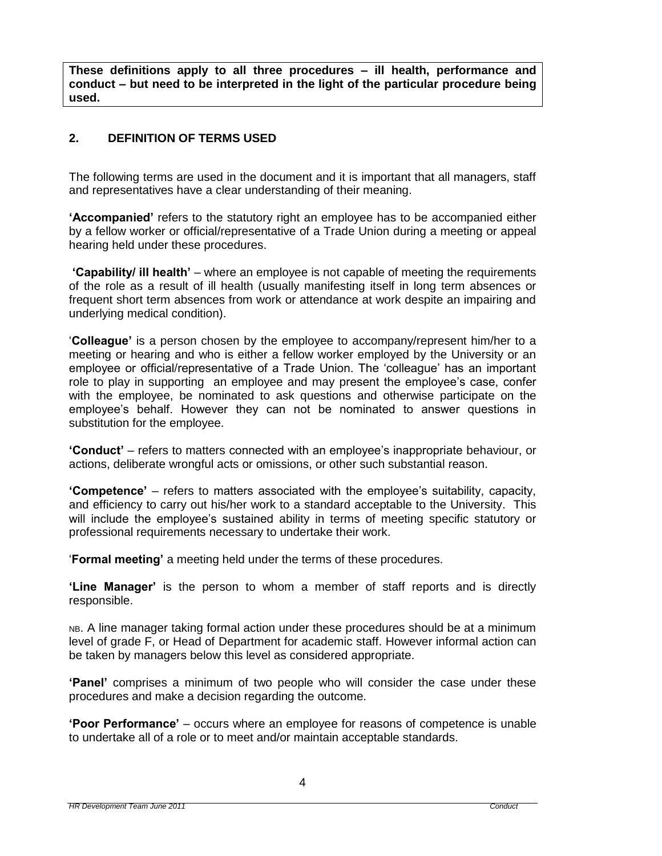**These definitions apply to all three procedures – ill health, performance and conduct – but need to be interpreted in the light of the particular procedure being used.**

### **2. DEFINITION OF TERMS USED**

The following terms are used in the document and it is important that all managers, staff and representatives have a clear understanding of their meaning.

**'Accompanied'** refers to the statutory right an employee has to be accompanied either by a fellow worker or official/representative of a Trade Union during a meeting or appeal hearing held under these procedures.

**'Capability/ ill health'** – where an employee is not capable of meeting the requirements of the role as a result of ill health (usually manifesting itself in long term absences or frequent short term absences from work or attendance at work despite an impairing and underlying medical condition).

'**Colleague'** is a person chosen by the employee to accompany/represent him/her to a meeting or hearing and who is either a fellow worker employed by the University or an employee or official/representative of a Trade Union. The 'colleague' has an important role to play in supporting an employee and may present the employee's case, confer with the employee, be nominated to ask questions and otherwise participate on the employee's behalf. However they can not be nominated to answer questions in substitution for the employee.

**'Conduct'** – refers to matters connected with an employee's inappropriate behaviour, or actions, deliberate wrongful acts or omissions, or other such substantial reason.

**'Competence'** – refers to matters associated with the employee's suitability, capacity, and efficiency to carry out his/her work to a standard acceptable to the University. This will include the employee's sustained ability in terms of meeting specific statutory or professional requirements necessary to undertake their work.

'**Formal meeting'** a meeting held under the terms of these procedures.

**'Line Manager'** is the person to whom a member of staff reports and is directly responsible.

NB. A line manager taking formal action under these procedures should be at a minimum level of grade F, or Head of Department for academic staff. However informal action can be taken by managers below this level as considered appropriate.

**'Panel'** comprises a minimum of two people who will consider the case under these procedures and make a decision regarding the outcome.

**'Poor Performance'** – occurs where an employee for reasons of competence is unable to undertake all of a role or to meet and/or maintain acceptable standards.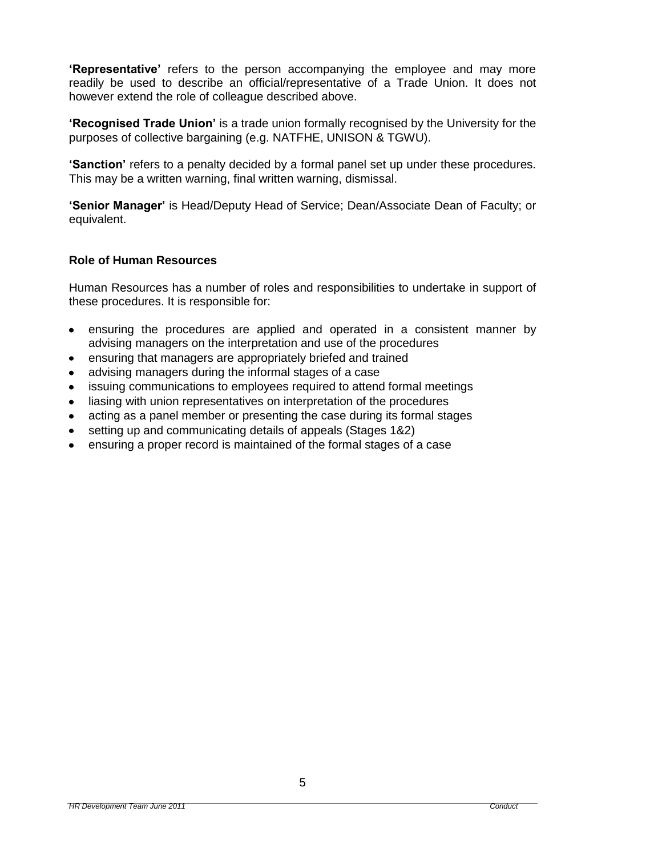**'Representative'** refers to the person accompanying the employee and may more readily be used to describe an official/representative of a Trade Union. It does not however extend the role of colleague described above.

**'Recognised Trade Union'** is a trade union formally recognised by the University for the purposes of collective bargaining (e.g. NATFHE, UNISON & TGWU).

**'Sanction'** refers to a penalty decided by a formal panel set up under these procedures. This may be a written warning, final written warning, dismissal.

**'Senior Manager'** is Head/Deputy Head of Service; Dean/Associate Dean of Faculty; or equivalent.

#### **Role of Human Resources**

Human Resources has a number of roles and responsibilities to undertake in support of these procedures. It is responsible for:

- ensuring the procedures are applied and operated in a consistent manner by  $\bullet$ advising managers on the interpretation and use of the procedures
- ensuring that managers are appropriately briefed and trained
- advising managers during the informal stages of a case  $\bullet$
- issuing communications to employees required to attend formal meetings
- liasing with union representatives on interpretation of the procedures  $\bullet$
- acting as a panel member or presenting the case during its formal stages
- setting up and communicating details of appeals (Stages 1&2)
- ensuring a proper record is maintained of the formal stages of a case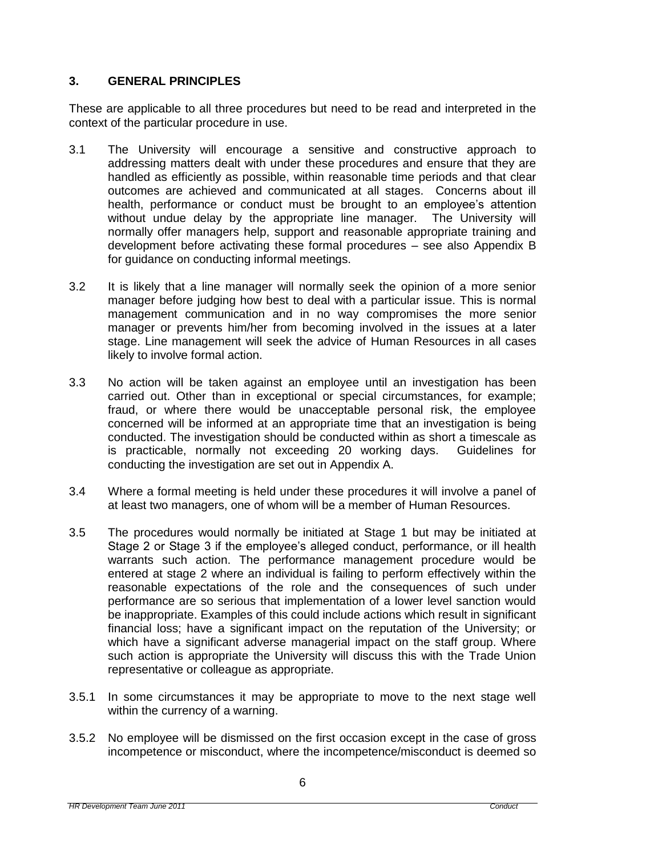#### **3. GENERAL PRINCIPLES**

These are applicable to all three procedures but need to be read and interpreted in the context of the particular procedure in use.

- 3.1 The University will encourage a sensitive and constructive approach to addressing matters dealt with under these procedures and ensure that they are handled as efficiently as possible, within reasonable time periods and that clear outcomes are achieved and communicated at all stages. Concerns about ill health, performance or conduct must be brought to an employee's attention without undue delay by the appropriate line manager. The University will normally offer managers help, support and reasonable appropriate training and development before activating these formal procedures – see also Appendix B for guidance on conducting informal meetings.
- 3.2 It is likely that a line manager will normally seek the opinion of a more senior manager before judging how best to deal with a particular issue. This is normal management communication and in no way compromises the more senior manager or prevents him/her from becoming involved in the issues at a later stage. Line management will seek the advice of Human Resources in all cases likely to involve formal action.
- 3.3 No action will be taken against an employee until an investigation has been carried out. Other than in exceptional or special circumstances, for example; fraud, or where there would be unacceptable personal risk, the employee concerned will be informed at an appropriate time that an investigation is being conducted. The investigation should be conducted within as short a timescale as is practicable, normally not exceeding 20 working days. Guidelines for conducting the investigation are set out in Appendix A.
- 3.4 Where a formal meeting is held under these procedures it will involve a panel of at least two managers, one of whom will be a member of Human Resources.
- 3.5 The procedures would normally be initiated at Stage 1 but may be initiated at Stage 2 or Stage 3 if the employee's alleged conduct, performance, or ill health warrants such action. The performance management procedure would be entered at stage 2 where an individual is failing to perform effectively within the reasonable expectations of the role and the consequences of such under performance are so serious that implementation of a lower level sanction would be inappropriate. Examples of this could include actions which result in significant financial loss; have a significant impact on the reputation of the University; or which have a significant adverse managerial impact on the staff group. Where such action is appropriate the University will discuss this with the Trade Union representative or colleague as appropriate.
- 3.5.1 In some circumstances it may be appropriate to move to the next stage well within the currency of a warning.
- 3.5.2 No employee will be dismissed on the first occasion except in the case of gross incompetence or misconduct, where the incompetence/misconduct is deemed so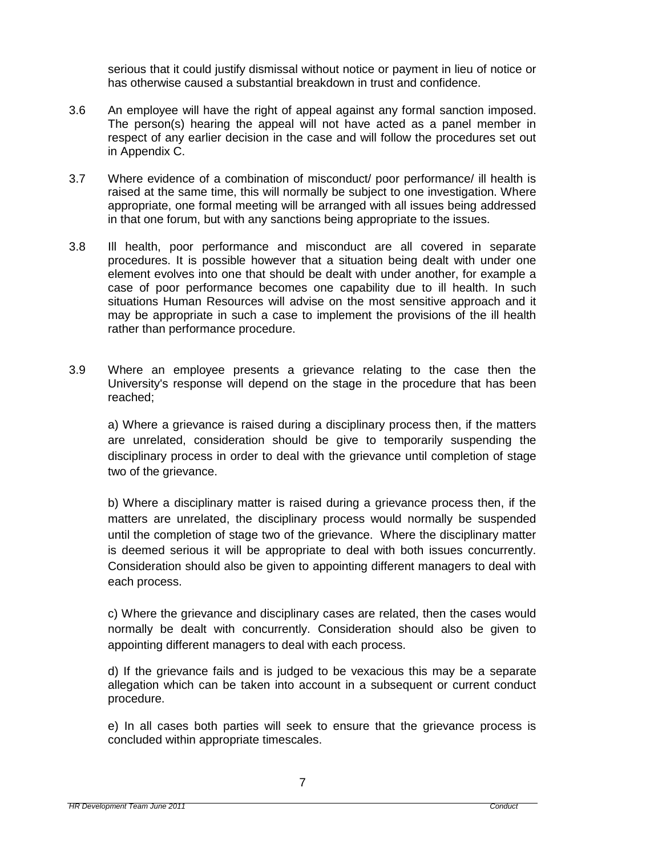serious that it could justify dismissal without notice or payment in lieu of notice or has otherwise caused a substantial breakdown in trust and confidence.

- 3.6 An employee will have the right of appeal against any formal sanction imposed. The person(s) hearing the appeal will not have acted as a panel member in respect of any earlier decision in the case and will follow the procedures set out in Appendix C.
- 3.7 Where evidence of a combination of misconduct/ poor performance/ ill health is raised at the same time, this will normally be subject to one investigation. Where appropriate, one formal meeting will be arranged with all issues being addressed in that one forum, but with any sanctions being appropriate to the issues.
- 3.8 Ill health, poor performance and misconduct are all covered in separate procedures. It is possible however that a situation being dealt with under one element evolves into one that should be dealt with under another, for example a case of poor performance becomes one capability due to ill health. In such situations Human Resources will advise on the most sensitive approach and it may be appropriate in such a case to implement the provisions of the ill health rather than performance procedure.
- 3.9 Where an employee presents a grievance relating to the case then the University's response will depend on the stage in the procedure that has been reached;

a) Where a grievance is raised during a disciplinary process then, if the matters are unrelated, consideration should be give to temporarily suspending the disciplinary process in order to deal with the grievance until completion of stage two of the grievance.

b) Where a disciplinary matter is raised during a grievance process then, if the matters are unrelated, the disciplinary process would normally be suspended until the completion of stage two of the grievance. Where the disciplinary matter is deemed serious it will be appropriate to deal with both issues concurrently. Consideration should also be given to appointing different managers to deal with each process.

c) Where the grievance and disciplinary cases are related, then the cases would normally be dealt with concurrently. Consideration should also be given to appointing different managers to deal with each process.

d) If the grievance fails and is judged to be vexacious this may be a separate allegation which can be taken into account in a subsequent or current conduct procedure.

e) In all cases both parties will seek to ensure that the grievance process is concluded within appropriate timescales.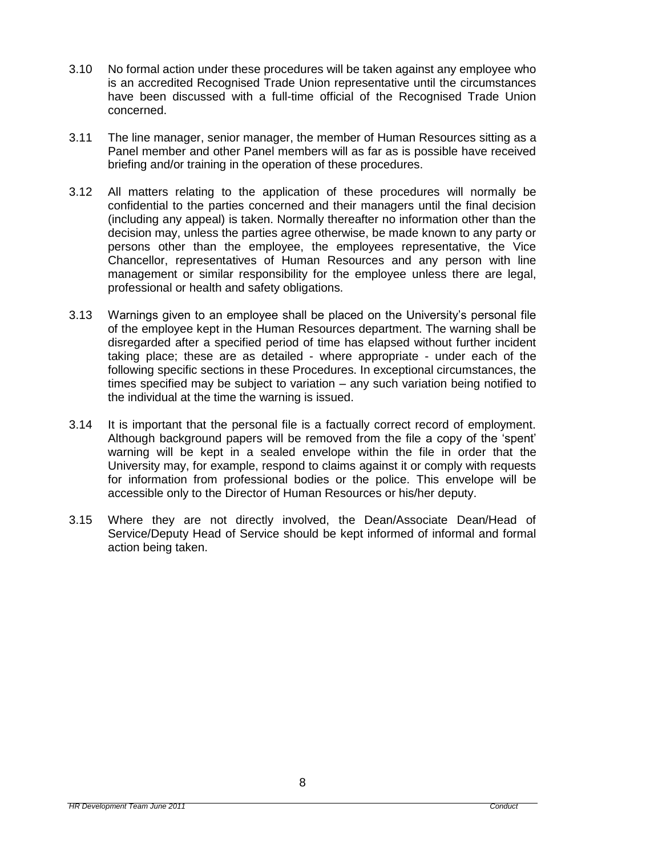- 3.10 No formal action under these procedures will be taken against any employee who is an accredited Recognised Trade Union representative until the circumstances have been discussed with a full-time official of the Recognised Trade Union concerned.
- 3.11 The line manager, senior manager, the member of Human Resources sitting as a Panel member and other Panel members will as far as is possible have received briefing and/or training in the operation of these procedures.
- 3.12 All matters relating to the application of these procedures will normally be confidential to the parties concerned and their managers until the final decision (including any appeal) is taken. Normally thereafter no information other than the decision may, unless the parties agree otherwise, be made known to any party or persons other than the employee, the employees representative, the Vice Chancellor, representatives of Human Resources and any person with line management or similar responsibility for the employee unless there are legal, professional or health and safety obligations.
- 3.13 Warnings given to an employee shall be placed on the University's personal file of the employee kept in the Human Resources department. The warning shall be disregarded after a specified period of time has elapsed without further incident taking place; these are as detailed - where appropriate - under each of the following specific sections in these Procedures. In exceptional circumstances, the times specified may be subject to variation – any such variation being notified to the individual at the time the warning is issued.
- 3.14 It is important that the personal file is a factually correct record of employment. Although background papers will be removed from the file a copy of the 'spent' warning will be kept in a sealed envelope within the file in order that the University may, for example, respond to claims against it or comply with requests for information from professional bodies or the police. This envelope will be accessible only to the Director of Human Resources or his/her deputy.
- 3.15 Where they are not directly involved, the Dean/Associate Dean/Head of Service/Deputy Head of Service should be kept informed of informal and formal action being taken.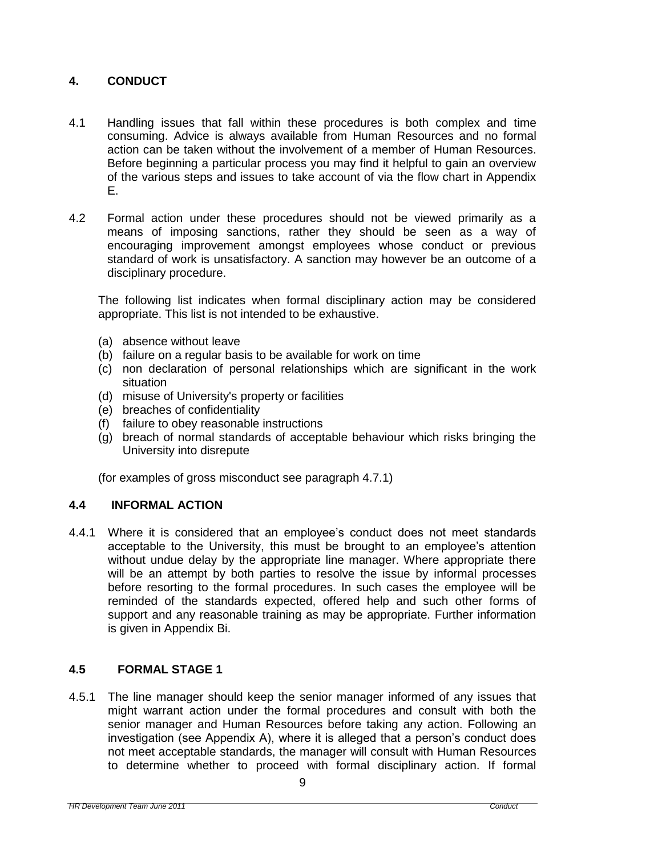### **4. CONDUCT**

- 4.1 Handling issues that fall within these procedures is both complex and time consuming. Advice is always available from Human Resources and no formal action can be taken without the involvement of a member of Human Resources. Before beginning a particular process you may find it helpful to gain an overview of the various steps and issues to take account of via the flow chart in Appendix E.
- 4.2 Formal action under these procedures should not be viewed primarily as a means of imposing sanctions, rather they should be seen as a way of encouraging improvement amongst employees whose conduct or previous standard of work is unsatisfactory. A sanction may however be an outcome of a disciplinary procedure.

The following list indicates when formal disciplinary action may be considered appropriate. This list is not intended to be exhaustive.

- (a) absence without leave
- (b) failure on a regular basis to be available for work on time
- (c) non declaration of personal relationships which are significant in the work situation
- (d) misuse of University's property or facilities
- (e) breaches of confidentiality
- (f) failure to obey reasonable instructions
- (g) breach of normal standards of acceptable behaviour which risks bringing the University into disrepute

(for examples of gross misconduct see paragraph 4.7.1)

#### **4.4 INFORMAL ACTION**

4.4.1 Where it is considered that an employee's conduct does not meet standards acceptable to the University, this must be brought to an employee's attention without undue delay by the appropriate line manager. Where appropriate there will be an attempt by both parties to resolve the issue by informal processes before resorting to the formal procedures. In such cases the employee will be reminded of the standards expected, offered help and such other forms of support and any reasonable training as may be appropriate. Further information is given in Appendix Bi.

#### **4.5 FORMAL STAGE 1**

4.5.1 The line manager should keep the senior manager informed of any issues that might warrant action under the formal procedures and consult with both the senior manager and Human Resources before taking any action. Following an investigation (see Appendix A), where it is alleged that a person's conduct does not meet acceptable standards, the manager will consult with Human Resources to determine whether to proceed with formal disciplinary action. If formal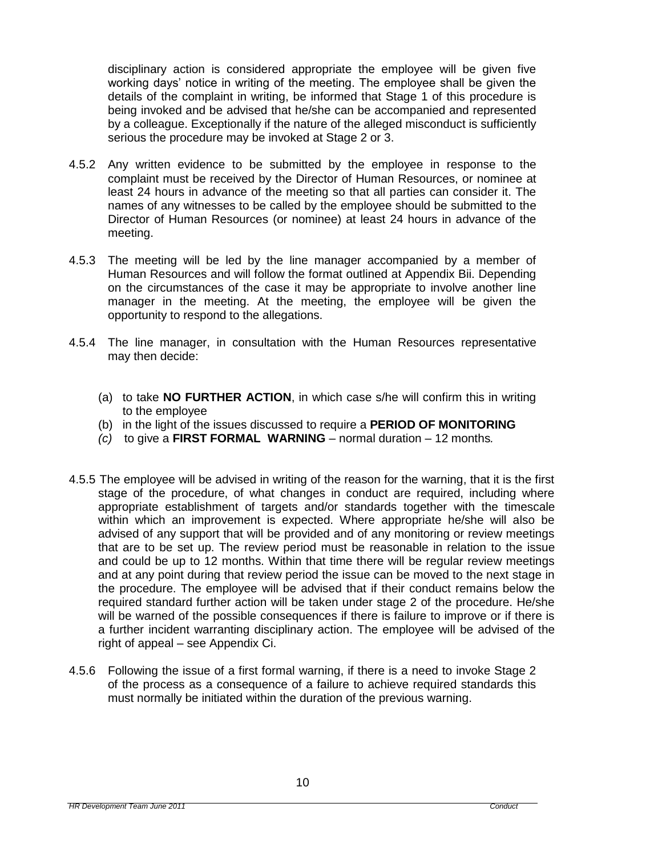disciplinary action is considered appropriate the employee will be given five working days' notice in writing of the meeting. The employee shall be given the details of the complaint in writing, be informed that Stage 1 of this procedure is being invoked and be advised that he/she can be accompanied and represented by a colleague. Exceptionally if the nature of the alleged misconduct is sufficiently serious the procedure may be invoked at Stage 2 or 3.

- 4.5.2 Any written evidence to be submitted by the employee in response to the complaint must be received by the Director of Human Resources, or nominee at least 24 hours in advance of the meeting so that all parties can consider it. The names of any witnesses to be called by the employee should be submitted to the Director of Human Resources (or nominee) at least 24 hours in advance of the meeting.
- 4.5.3 The meeting will be led by the line manager accompanied by a member of Human Resources and will follow the format outlined at Appendix Bii. Depending on the circumstances of the case it may be appropriate to involve another line manager in the meeting. At the meeting, the employee will be given the opportunity to respond to the allegations.
- 4.5.4 The line manager, in consultation with the Human Resources representative may then decide:
	- (a) to take **NO FURTHER ACTION**, in which case s/he will confirm this in writing to the employee
	- (b) in the light of the issues discussed to require a **PERIOD OF MONITORING**
	- *(c)* to give a **FIRST FORMAL WARNING** normal duration 12 months*.*
- 4.5.5 The employee will be advised in writing of the reason for the warning, that it is the first stage of the procedure, of what changes in conduct are required, including where appropriate establishment of targets and/or standards together with the timescale within which an improvement is expected. Where appropriate he/she will also be advised of any support that will be provided and of any monitoring or review meetings that are to be set up. The review period must be reasonable in relation to the issue and could be up to 12 months. Within that time there will be regular review meetings and at any point during that review period the issue can be moved to the next stage in the procedure. The employee will be advised that if their conduct remains below the required standard further action will be taken under stage 2 of the procedure. He/she will be warned of the possible consequences if there is failure to improve or if there is a further incident warranting disciplinary action. The employee will be advised of the right of appeal – see Appendix Ci.
- 4.5.6 Following the issue of a first formal warning, if there is a need to invoke Stage 2 of the process as a consequence of a failure to achieve required standards this must normally be initiated within the duration of the previous warning.

#### *HR Development Team June 2011 Conduct*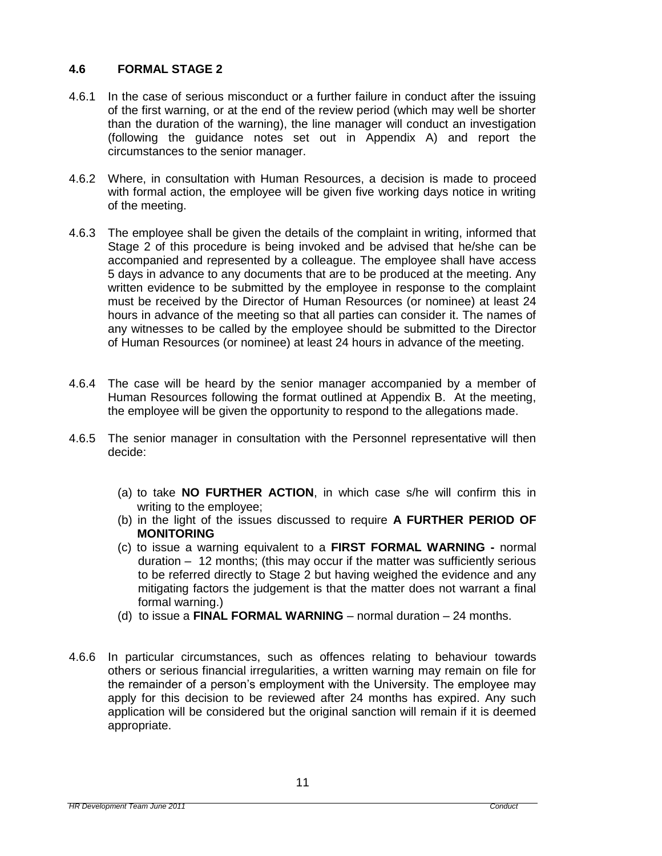#### **4.6 FORMAL STAGE 2**

- 4.6.1 In the case of serious misconduct or a further failure in conduct after the issuing of the first warning, or at the end of the review period (which may well be shorter than the duration of the warning), the line manager will conduct an investigation (following the guidance notes set out in Appendix A) and report the circumstances to the senior manager.
- 4.6.2 Where, in consultation with Human Resources, a decision is made to proceed with formal action, the employee will be given five working days notice in writing of the meeting.
- 4.6.3 The employee shall be given the details of the complaint in writing, informed that Stage 2 of this procedure is being invoked and be advised that he/she can be accompanied and represented by a colleague. The employee shall have access 5 days in advance to any documents that are to be produced at the meeting. Any written evidence to be submitted by the employee in response to the complaint must be received by the Director of Human Resources (or nominee) at least 24 hours in advance of the meeting so that all parties can consider it. The names of any witnesses to be called by the employee should be submitted to the Director of Human Resources (or nominee) at least 24 hours in advance of the meeting.
- 4.6.4 The case will be heard by the senior manager accompanied by a member of Human Resources following the format outlined at Appendix B. At the meeting, the employee will be given the opportunity to respond to the allegations made.
- 4.6.5 The senior manager in consultation with the Personnel representative will then decide:
	- (a) to take **NO FURTHER ACTION**, in which case s/he will confirm this in writing to the employee;
	- (b) in the light of the issues discussed to require **A FURTHER PERIOD OF MONITORING**
	- (c) to issue a warning equivalent to a **FIRST FORMAL WARNING -** normal duration – 12 months; (this may occur if the matter was sufficiently serious to be referred directly to Stage 2 but having weighed the evidence and any mitigating factors the judgement is that the matter does not warrant a final formal warning.)
	- (d) to issue a **FINAL FORMAL WARNING** normal duration 24 months.
- 4.6.6 In particular circumstances, such as offences relating to behaviour towards others or serious financial irregularities, a written warning may remain on file for the remainder of a person's employment with the University. The employee may apply for this decision to be reviewed after 24 months has expired. Any such application will be considered but the original sanction will remain if it is deemed appropriate.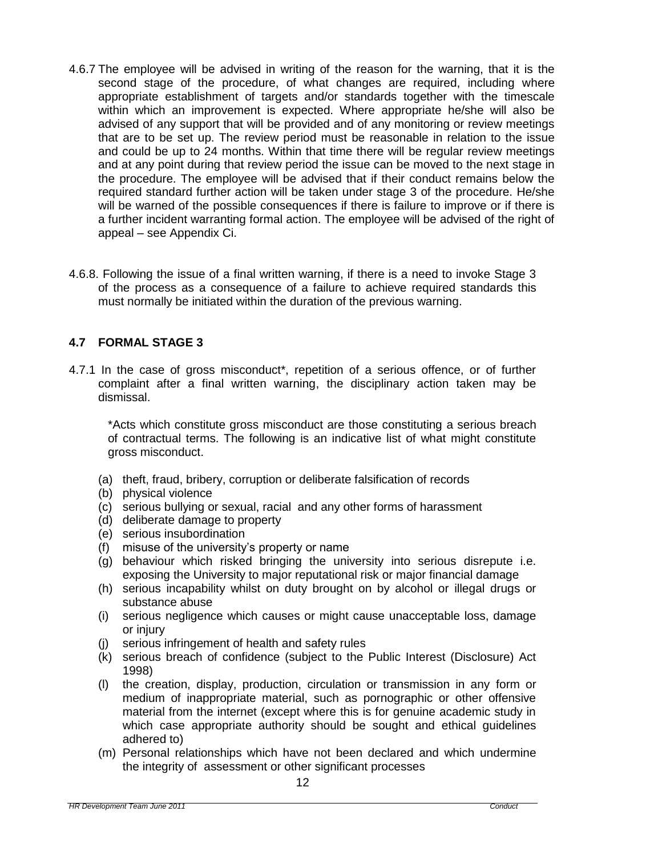- 4.6.7 The employee will be advised in writing of the reason for the warning, that it is the second stage of the procedure, of what changes are required, including where appropriate establishment of targets and/or standards together with the timescale within which an improvement is expected. Where appropriate he/she will also be advised of any support that will be provided and of any monitoring or review meetings that are to be set up. The review period must be reasonable in relation to the issue and could be up to 24 months. Within that time there will be regular review meetings and at any point during that review period the issue can be moved to the next stage in the procedure. The employee will be advised that if their conduct remains below the required standard further action will be taken under stage 3 of the procedure. He/she will be warned of the possible consequences if there is failure to improve or if there is a further incident warranting formal action. The employee will be advised of the right of appeal – see Appendix Ci.
- 4.6.8. Following the issue of a final written warning, if there is a need to invoke Stage 3 of the process as a consequence of a failure to achieve required standards this must normally be initiated within the duration of the previous warning.

#### **4.7 FORMAL STAGE 3**

4.7.1 In the case of gross misconduct\*, repetition of a serious offence, or of further complaint after a final written warning, the disciplinary action taken may be dismissal.

\*Acts which constitute gross misconduct are those constituting a serious breach of contractual terms. The following is an indicative list of what might constitute gross misconduct.

- (a) theft, fraud, bribery, corruption or deliberate falsification of records
- (b) physical violence
- (c) serious bullying or sexual, racial and any other forms of harassment
- (d) deliberate damage to property
- (e) serious insubordination
- (f) misuse of the university's property or name
- (g) behaviour which risked bringing the university into serious disrepute i.e. exposing the University to major reputational risk or major financial damage
- (h) serious incapability whilst on duty brought on by alcohol or illegal drugs or substance abuse
- (i) serious negligence which causes or might cause unacceptable loss, damage or injury
- (j) serious infringement of health and safety rules
- (k) serious breach of confidence (subject to the Public Interest (Disclosure) Act 1998)
- (l) the creation, display, production, circulation or transmission in any form or medium of inappropriate material, such as pornographic or other offensive material from the internet (except where this is for genuine academic study in which case appropriate authority should be sought and ethical guidelines adhered to)
- (m) Personal relationships which have not been declared and which undermine the integrity of assessment or other significant processes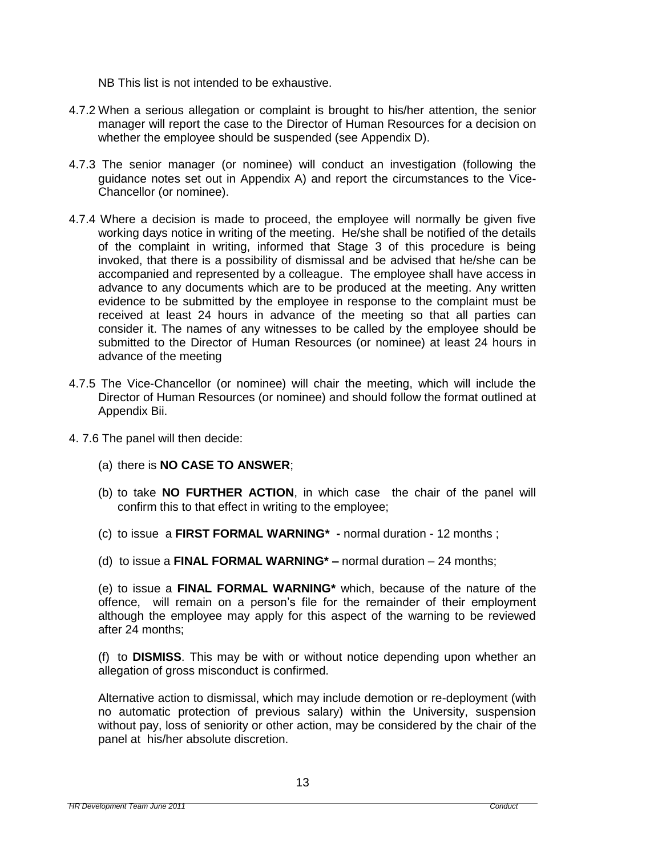NB This list is not intended to be exhaustive.

- 4.7.2 When a serious allegation or complaint is brought to his/her attention, the senior manager will report the case to the Director of Human Resources for a decision on whether the employee should be suspended (see Appendix D).
- 4.7.3 The senior manager (or nominee) will conduct an investigation (following the guidance notes set out in Appendix A) and report the circumstances to the Vice-Chancellor (or nominee).
- 4.7.4 Where a decision is made to proceed, the employee will normally be given five working days notice in writing of the meeting. He/she shall be notified of the details of the complaint in writing, informed that Stage 3 of this procedure is being invoked, that there is a possibility of dismissal and be advised that he/she can be accompanied and represented by a colleague. The employee shall have access in advance to any documents which are to be produced at the meeting. Any written evidence to be submitted by the employee in response to the complaint must be received at least 24 hours in advance of the meeting so that all parties can consider it. The names of any witnesses to be called by the employee should be submitted to the Director of Human Resources (or nominee) at least 24 hours in advance of the meeting
- 4.7.5 The Vice-Chancellor (or nominee) will chair the meeting, which will include the Director of Human Resources (or nominee) and should follow the format outlined at Appendix Bii.
- 4. 7.6 The panel will then decide:
	- (a) there is **NO CASE TO ANSWER**;
	- (b) to take **NO FURTHER ACTION**, in which case the chair of the panel will confirm this to that effect in writing to the employee;
	- (c) to issue a **FIRST FORMAL WARNING\* -** normal duration 12 months ;
	- (d) to issue a **FINAL FORMAL WARNING\* –** normal duration 24 months;

(e) to issue a **FINAL FORMAL WARNING\*** which, because of the nature of the offence, will remain on a person's file for the remainder of their employment although the employee may apply for this aspect of the warning to be reviewed after 24 months;

(f) to **DISMISS**. This may be with or without notice depending upon whether an allegation of gross misconduct is confirmed.

Alternative action to dismissal, which may include demotion or re-deployment (with no automatic protection of previous salary) within the University, suspension without pay, loss of seniority or other action, may be considered by the chair of the panel at his/her absolute discretion.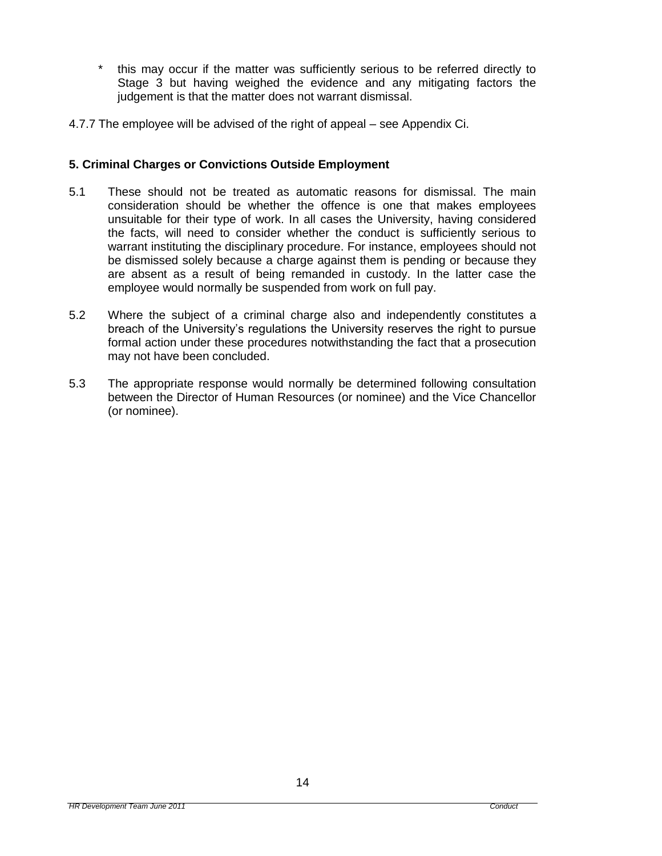- \* this may occur if the matter was sufficiently serious to be referred directly to Stage 3 but having weighed the evidence and any mitigating factors the judgement is that the matter does not warrant dismissal.
- 4.7.7 The employee will be advised of the right of appeal see Appendix Ci.

#### **5. Criminal Charges or Convictions Outside Employment**

- 5.1 These should not be treated as automatic reasons for dismissal. The main consideration should be whether the offence is one that makes employees unsuitable for their type of work. In all cases the University, having considered the facts, will need to consider whether the conduct is sufficiently serious to warrant instituting the disciplinary procedure. For instance, employees should not be dismissed solely because a charge against them is pending or because they are absent as a result of being remanded in custody. In the latter case the employee would normally be suspended from work on full pay.
- 5.2 Where the subject of a criminal charge also and independently constitutes a breach of the University's regulations the University reserves the right to pursue formal action under these procedures notwithstanding the fact that a prosecution may not have been concluded.
- 5.3 The appropriate response would normally be determined following consultation between the Director of Human Resources (or nominee) and the Vice Chancellor (or nominee).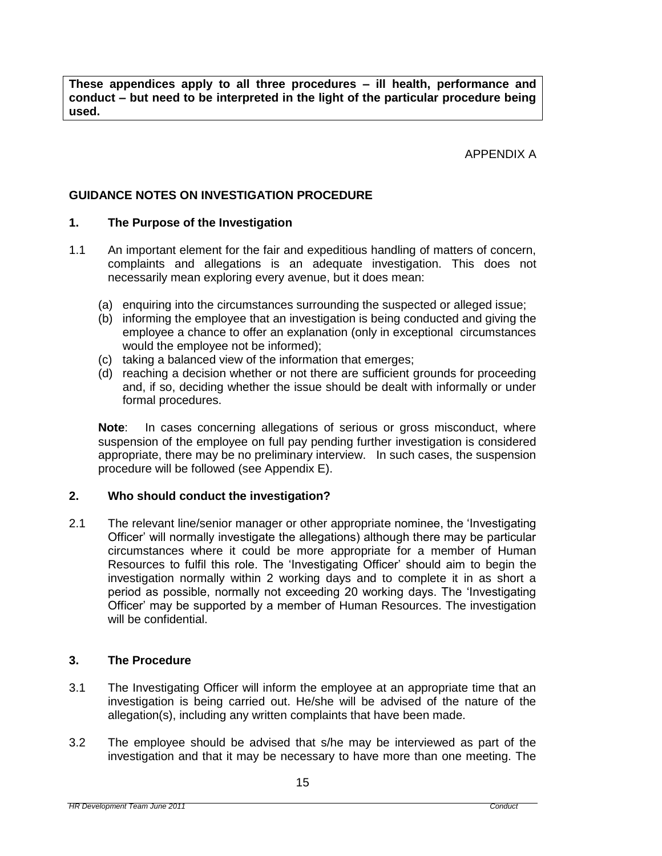**These appendices apply to all three procedures – ill health, performance and conduct – but need to be interpreted in the light of the particular procedure being used.**

APPENDIX A

### **GUIDANCE NOTES ON INVESTIGATION PROCEDURE**

#### **1. The Purpose of the Investigation**

- 1.1 An important element for the fair and expeditious handling of matters of concern, complaints and allegations is an adequate investigation. This does not necessarily mean exploring every avenue, but it does mean:
	- (a) enquiring into the circumstances surrounding the suspected or alleged issue;
	- (b) informing the employee that an investigation is being conducted and giving the employee a chance to offer an explanation (only in exceptional circumstances would the employee not be informed);
	- (c) taking a balanced view of the information that emerges;
	- (d) reaching a decision whether or not there are sufficient grounds for proceeding and, if so, deciding whether the issue should be dealt with informally or under formal procedures.

**Note**: In cases concerning allegations of serious or gross misconduct, where suspension of the employee on full pay pending further investigation is considered appropriate, there may be no preliminary interview. In such cases, the suspension procedure will be followed (see Appendix E).

#### **2. Who should conduct the investigation?**

2.1 The relevant line/senior manager or other appropriate nominee, the 'Investigating Officer' will normally investigate the allegations) although there may be particular circumstances where it could be more appropriate for a member of Human Resources to fulfil this role. The 'Investigating Officer' should aim to begin the investigation normally within 2 working days and to complete it in as short a period as possible, normally not exceeding 20 working days. The 'Investigating Officer' may be supported by a member of Human Resources. The investigation will be confidential.

#### **3. The Procedure**

- 3.1 The Investigating Officer will inform the employee at an appropriate time that an investigation is being carried out. He/she will be advised of the nature of the allegation(s), including any written complaints that have been made.
- 3.2 The employee should be advised that s/he may be interviewed as part of the investigation and that it may be necessary to have more than one meeting. The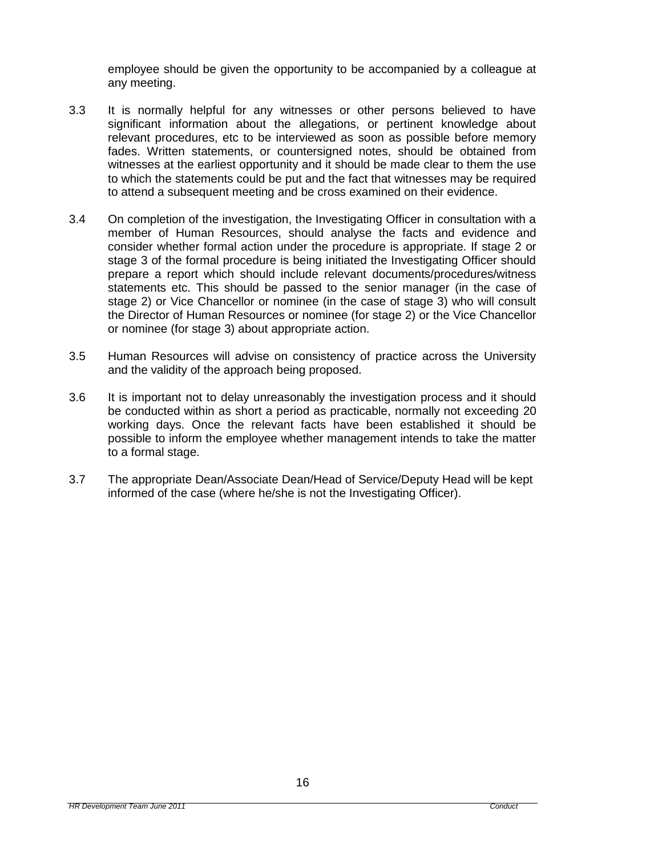employee should be given the opportunity to be accompanied by a colleague at any meeting.

- 3.3 It is normally helpful for any witnesses or other persons believed to have significant information about the allegations, or pertinent knowledge about relevant procedures, etc to be interviewed as soon as possible before memory fades. Written statements, or countersigned notes, should be obtained from witnesses at the earliest opportunity and it should be made clear to them the use to which the statements could be put and the fact that witnesses may be required to attend a subsequent meeting and be cross examined on their evidence.
- 3.4 On completion of the investigation, the Investigating Officer in consultation with a member of Human Resources, should analyse the facts and evidence and consider whether formal action under the procedure is appropriate. If stage 2 or stage 3 of the formal procedure is being initiated the Investigating Officer should prepare a report which should include relevant documents/procedures/witness statements etc. This should be passed to the senior manager (in the case of stage 2) or Vice Chancellor or nominee (in the case of stage 3) who will consult the Director of Human Resources or nominee (for stage 2) or the Vice Chancellor or nominee (for stage 3) about appropriate action.
- 3.5 Human Resources will advise on consistency of practice across the University and the validity of the approach being proposed.
- 3.6 It is important not to delay unreasonably the investigation process and it should be conducted within as short a period as practicable, normally not exceeding 20 working days. Once the relevant facts have been established it should be possible to inform the employee whether management intends to take the matter to a formal stage.
- 3.7 The appropriate Dean/Associate Dean/Head of Service/Deputy Head will be kept informed of the case (where he/she is not the Investigating Officer).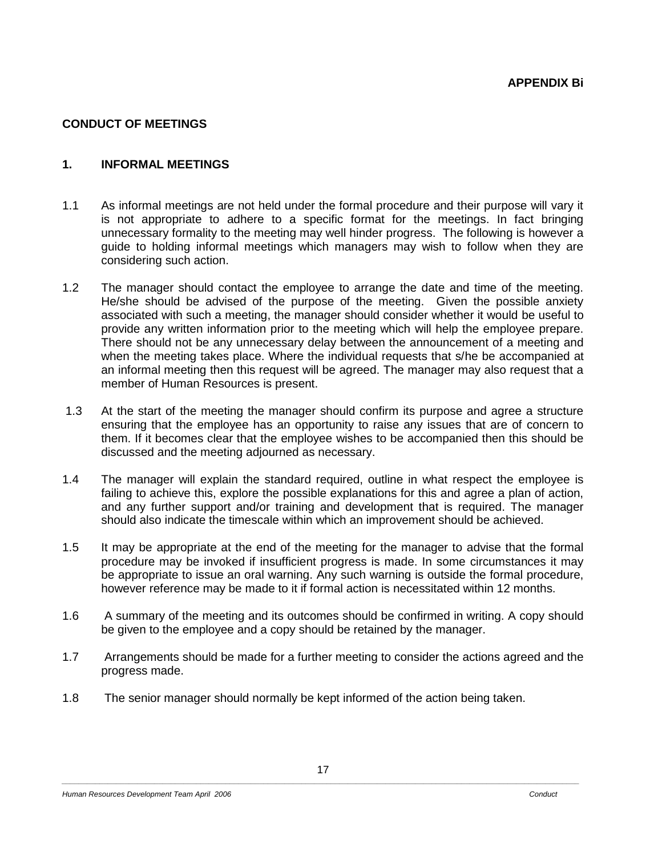#### **CONDUCT OF MEETINGS**

#### **1. INFORMAL MEETINGS**

- 1.1 As informal meetings are not held under the formal procedure and their purpose will vary it is not appropriate to adhere to a specific format for the meetings. In fact bringing unnecessary formality to the meeting may well hinder progress. The following is however a guide to holding informal meetings which managers may wish to follow when they are considering such action.
- 1.2 The manager should contact the employee to arrange the date and time of the meeting. He/she should be advised of the purpose of the meeting. Given the possible anxiety associated with such a meeting, the manager should consider whether it would be useful to provide any written information prior to the meeting which will help the employee prepare. There should not be any unnecessary delay between the announcement of a meeting and when the meeting takes place. Where the individual requests that s/he be accompanied at an informal meeting then this request will be agreed. The manager may also request that a member of Human Resources is present.
- 1.3 At the start of the meeting the manager should confirm its purpose and agree a structure ensuring that the employee has an opportunity to raise any issues that are of concern to them. If it becomes clear that the employee wishes to be accompanied then this should be discussed and the meeting adjourned as necessary.
- 1.4 The manager will explain the standard required, outline in what respect the employee is failing to achieve this, explore the possible explanations for this and agree a plan of action, and any further support and/or training and development that is required. The manager should also indicate the timescale within which an improvement should be achieved.
- 1.5 It may be appropriate at the end of the meeting for the manager to advise that the formal procedure may be invoked if insufficient progress is made. In some circumstances it may be appropriate to issue an oral warning. Any such warning is outside the formal procedure, however reference may be made to it if formal action is necessitated within 12 months.
- 1.6 A summary of the meeting and its outcomes should be confirmed in writing. A copy should be given to the employee and a copy should be retained by the manager.
- 1.7 Arrangements should be made for a further meeting to consider the actions agreed and the progress made.
- 1.8 The senior manager should normally be kept informed of the action being taken.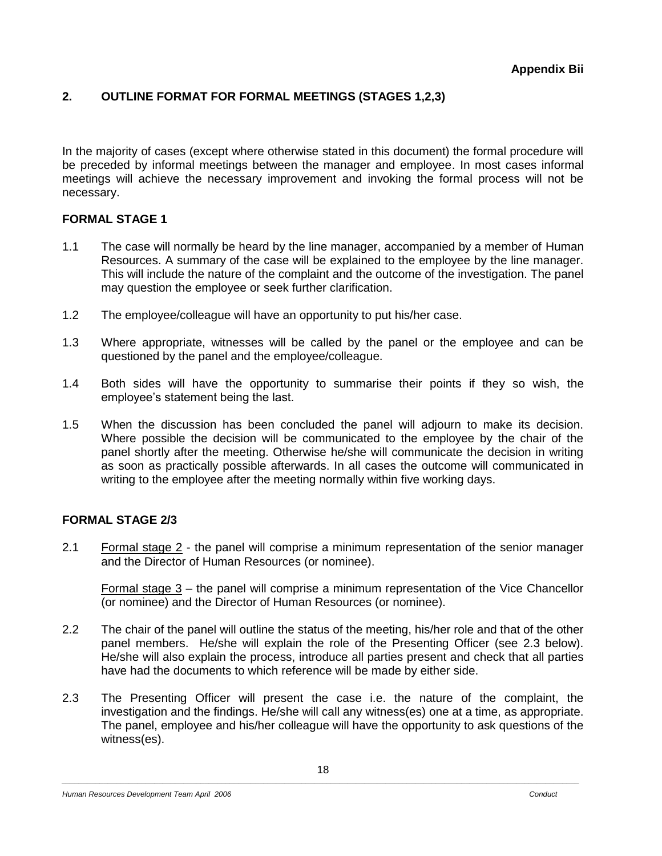### **2. OUTLINE FORMAT FOR FORMAL MEETINGS (STAGES 1,2,3)**

In the majority of cases (except where otherwise stated in this document) the formal procedure will be preceded by informal meetings between the manager and employee. In most cases informal meetings will achieve the necessary improvement and invoking the formal process will not be necessary.

#### **FORMAL STAGE 1**

- 1.1 The case will normally be heard by the line manager, accompanied by a member of Human Resources. A summary of the case will be explained to the employee by the line manager. This will include the nature of the complaint and the outcome of the investigation. The panel may question the employee or seek further clarification.
- 1.2 The employee/colleague will have an opportunity to put his/her case.
- 1.3 Where appropriate, witnesses will be called by the panel or the employee and can be questioned by the panel and the employee/colleague.
- 1.4 Both sides will have the opportunity to summarise their points if they so wish, the employee's statement being the last.
- 1.5 When the discussion has been concluded the panel will adjourn to make its decision. Where possible the decision will be communicated to the employee by the chair of the panel shortly after the meeting. Otherwise he/she will communicate the decision in writing as soon as practically possible afterwards. In all cases the outcome will communicated in writing to the employee after the meeting normally within five working days.

#### **FORMAL STAGE 2/3**

2.1 Formal stage 2 - the panel will comprise a minimum representation of the senior manager and the Director of Human Resources (or nominee).

Formal stage  $3$  – the panel will comprise a minimum representation of the Vice Chancellor (or nominee) and the Director of Human Resources (or nominee).

- 2.2 The chair of the panel will outline the status of the meeting, his/her role and that of the other panel members. He/she will explain the role of the Presenting Officer (see 2.3 below). He/she will also explain the process, introduce all parties present and check that all parties have had the documents to which reference will be made by either side.
- 2.3 The Presenting Officer will present the case i.e. the nature of the complaint, the investigation and the findings. He/she will call any witness(es) one at a time, as appropriate. The panel, employee and his/her colleague will have the opportunity to ask questions of the witness(es).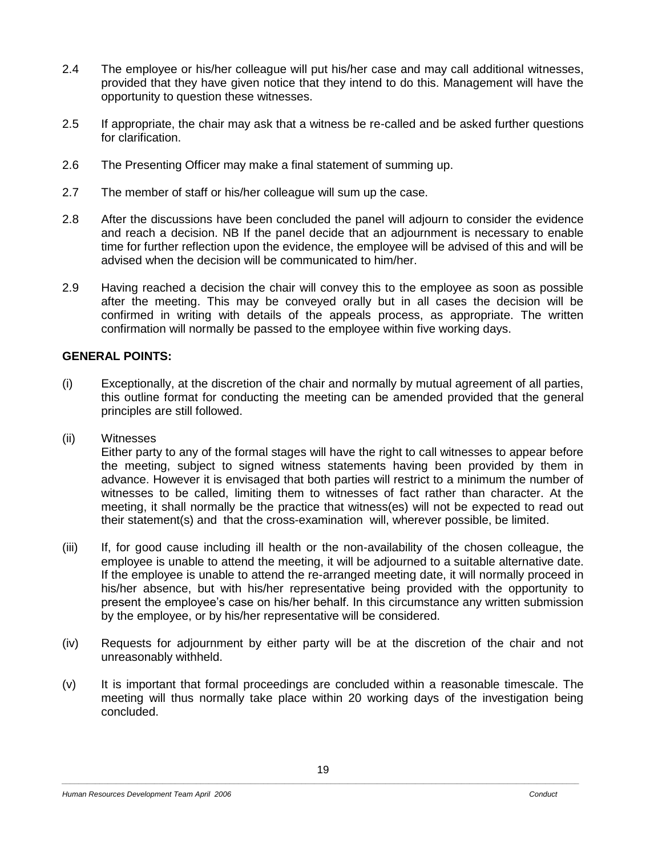- 2.4 The employee or his/her colleague will put his/her case and may call additional witnesses, provided that they have given notice that they intend to do this. Management will have the opportunity to question these witnesses.
- 2.5 If appropriate, the chair may ask that a witness be re-called and be asked further questions for clarification.
- 2.6 The Presenting Officer may make a final statement of summing up.
- 2.7 The member of staff or his/her colleague will sum up the case.
- 2.8 After the discussions have been concluded the panel will adjourn to consider the evidence and reach a decision. NB If the panel decide that an adjournment is necessary to enable time for further reflection upon the evidence, the employee will be advised of this and will be advised when the decision will be communicated to him/her.
- 2.9 Having reached a decision the chair will convey this to the employee as soon as possible after the meeting. This may be conveyed orally but in all cases the decision will be confirmed in writing with details of the appeals process, as appropriate. The written confirmation will normally be passed to the employee within five working days.

#### **GENERAL POINTS:**

- (i) Exceptionally, at the discretion of the chair and normally by mutual agreement of all parties, this outline format for conducting the meeting can be amended provided that the general principles are still followed.
- (ii) Witnesses

Either party to any of the formal stages will have the right to call witnesses to appear before the meeting, subject to signed witness statements having been provided by them in advance. However it is envisaged that both parties will restrict to a minimum the number of witnesses to be called, limiting them to witnesses of fact rather than character. At the meeting, it shall normally be the practice that witness(es) will not be expected to read out their statement(s) and that the cross-examination will, wherever possible, be limited.

- (iii) If, for good cause including ill health or the non-availability of the chosen colleague, the employee is unable to attend the meeting, it will be adjourned to a suitable alternative date. If the employee is unable to attend the re-arranged meeting date, it will normally proceed in his/her absence, but with his/her representative being provided with the opportunity to present the employee's case on his/her behalf. In this circumstance any written submission by the employee, or by his/her representative will be considered.
- (iv) Requests for adjournment by either party will be at the discretion of the chair and not unreasonably withheld.
- (v) It is important that formal proceedings are concluded within a reasonable timescale. The meeting will thus normally take place within 20 working days of the investigation being concluded.

*Human Resources Development Team April 2006 Conduct*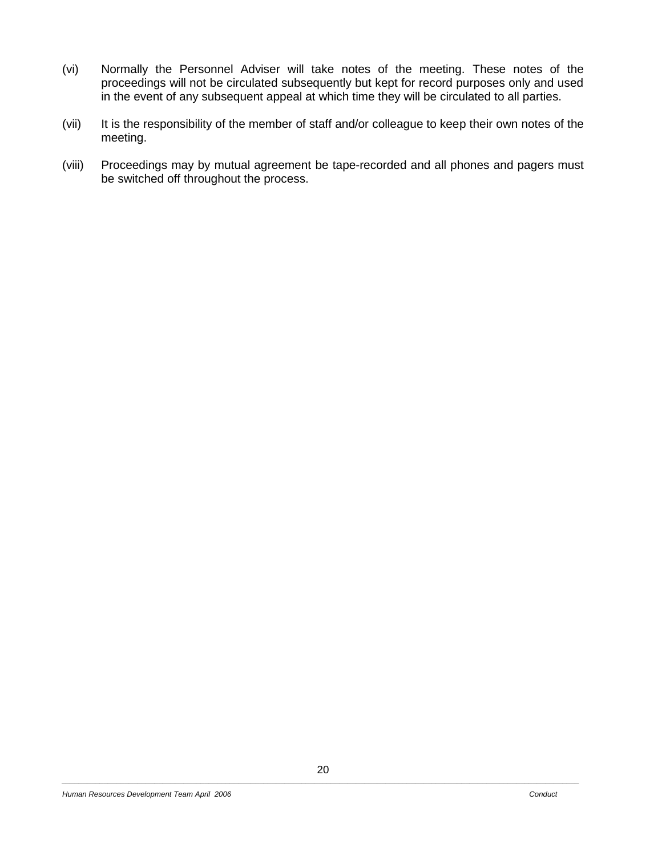- (vi) Normally the Personnel Adviser will take notes of the meeting. These notes of the proceedings will not be circulated subsequently but kept for record purposes only and used in the event of any subsequent appeal at which time they will be circulated to all parties.
- (vii) It is the responsibility of the member of staff and/or colleague to keep their own notes of the meeting.
- (viii) Proceedings may by mutual agreement be tape-recorded and all phones and pagers must be switched off throughout the process.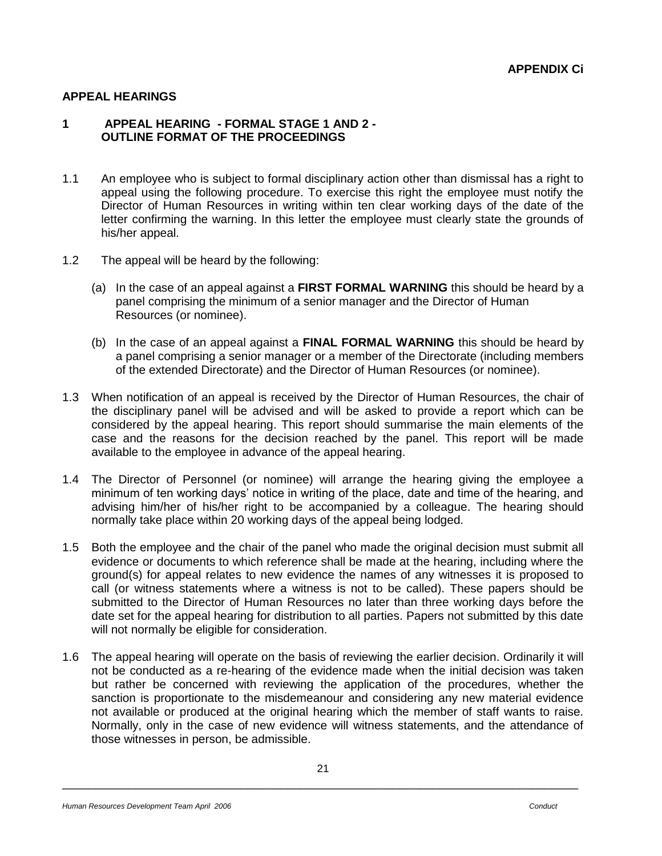#### **APPEAL HEARINGS**

#### **1 APPEAL HEARING - FORMAL STAGE 1 AND 2 - OUTLINE FORMAT OF THE PROCEEDINGS**

- 1.1 An employee who is subject to formal disciplinary action other than dismissal has a right to appeal using the following procedure. To exercise this right the employee must notify the Director of Human Resources in writing within ten clear working days of the date of the letter confirming the warning. In this letter the employee must clearly state the grounds of his/her appeal.
- 1.2 The appeal will be heard by the following:
	- (a) In the case of an appeal against a **FIRST FORMAL WARNING** this should be heard by a panel comprising the minimum of a senior manager and the Director of Human Resources (or nominee).
	- (b) In the case of an appeal against a **FINAL FORMAL WARNING** this should be heard by a panel comprising a senior manager or a member of the Directorate (including members of the extended Directorate) and the Director of Human Resources (or nominee).
- 1.3 When notification of an appeal is received by the Director of Human Resources, the chair of the disciplinary panel will be advised and will be asked to provide a report which can be considered by the appeal hearing. This report should summarise the main elements of the case and the reasons for the decision reached by the panel. This report will be made available to the employee in advance of the appeal hearing.
- 1.4 The Director of Personnel (or nominee) will arrange the hearing giving the employee a minimum of ten working days' notice in writing of the place, date and time of the hearing, and advising him/her of his/her right to be accompanied by a colleague. The hearing should normally take place within 20 working days of the appeal being lodged.
- 1.5 Both the employee and the chair of the panel who made the original decision must submit all evidence or documents to which reference shall be made at the hearing, including where the ground(s) for appeal relates to new evidence the names of any witnesses it is proposed to call (or witness statements where a witness is not to be called). These papers should be submitted to the Director of Human Resources no later than three working days before the date set for the appeal hearing for distribution to all parties. Papers not submitted by this date will not normally be eligible for consideration.
- 1.6 The appeal hearing will operate on the basis of reviewing the earlier decision. Ordinarily it will not be conducted as a re-hearing of the evidence made when the initial decision was taken but rather be concerned with reviewing the application of the procedures, whether the sanction is proportionate to the misdemeanour and considering any new material evidence not available or produced at the original hearing which the member of staff wants to raise. Normally, only in the case of new evidence will witness statements, and the attendance of those witnesses in person, be admissible.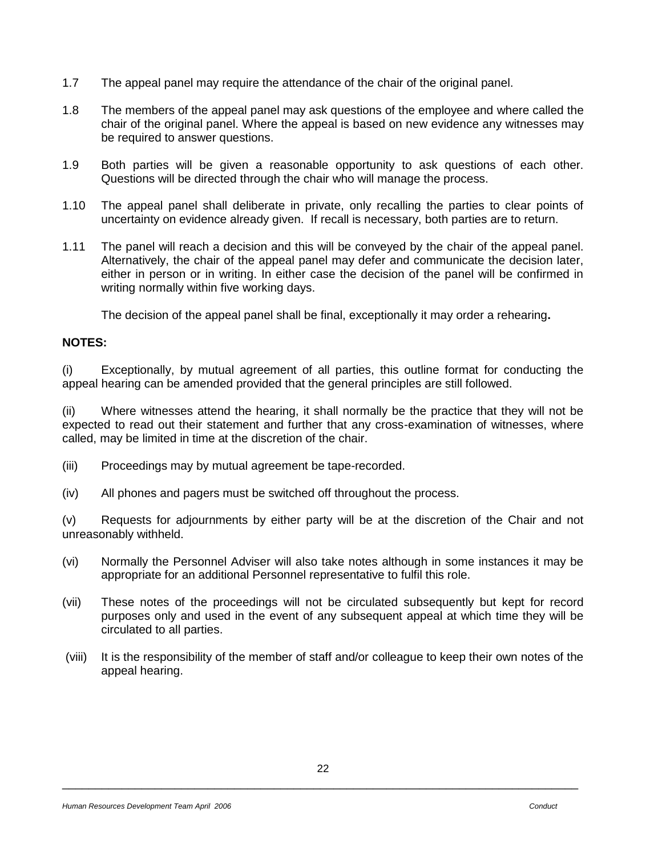- 1.7 The appeal panel may require the attendance of the chair of the original panel.
- 1.8 The members of the appeal panel may ask questions of the employee and where called the chair of the original panel. Where the appeal is based on new evidence any witnesses may be required to answer questions.
- 1.9 Both parties will be given a reasonable opportunity to ask questions of each other. Questions will be directed through the chair who will manage the process.
- 1.10 The appeal panel shall deliberate in private, only recalling the parties to clear points of uncertainty on evidence already given. If recall is necessary, both parties are to return.
- 1.11 The panel will reach a decision and this will be conveyed by the chair of the appeal panel. Alternatively, the chair of the appeal panel may defer and communicate the decision later, either in person or in writing. In either case the decision of the panel will be confirmed in writing normally within five working days.

The decision of the appeal panel shall be final, exceptionally it may order a rehearing**.** 

#### **NOTES:**

(i) Exceptionally, by mutual agreement of all parties, this outline format for conducting the appeal hearing can be amended provided that the general principles are still followed.

(ii) Where witnesses attend the hearing, it shall normally be the practice that they will not be expected to read out their statement and further that any cross-examination of witnesses, where called, may be limited in time at the discretion of the chair.

- (iii) Proceedings may by mutual agreement be tape-recorded.
- (iv) All phones and pagers must be switched off throughout the process.

(v) Requests for adjournments by either party will be at the discretion of the Chair and not unreasonably withheld.

- (vi) Normally the Personnel Adviser will also take notes although in some instances it may be appropriate for an additional Personnel representative to fulfil this role.
- (vii) These notes of the proceedings will not be circulated subsequently but kept for record purposes only and used in the event of any subsequent appeal at which time they will be circulated to all parties.
- (viii) It is the responsibility of the member of staff and/or colleague to keep their own notes of the appeal hearing.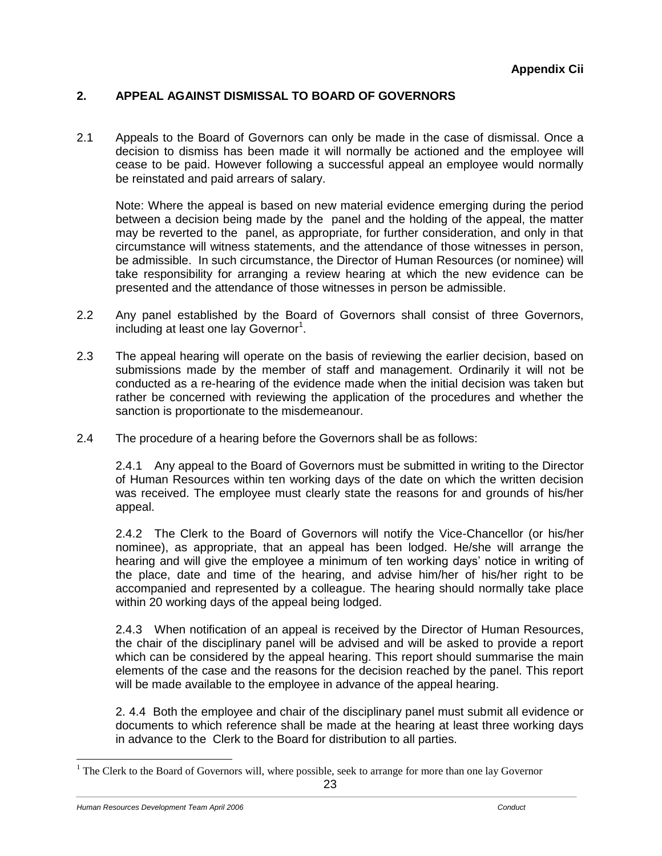### **2. APPEAL AGAINST DISMISSAL TO BOARD OF GOVERNORS**

2.1 Appeals to the Board of Governors can only be made in the case of dismissal. Once a decision to dismiss has been made it will normally be actioned and the employee will cease to be paid. However following a successful appeal an employee would normally be reinstated and paid arrears of salary.

Note: Where the appeal is based on new material evidence emerging during the period between a decision being made by the panel and the holding of the appeal, the matter may be reverted to the panel, as appropriate, for further consideration, and only in that circumstance will witness statements, and the attendance of those witnesses in person, be admissible. In such circumstance, the Director of Human Resources (or nominee) will take responsibility for arranging a review hearing at which the new evidence can be presented and the attendance of those witnesses in person be admissible.

- 2.2 Any panel established by the Board of Governors shall consist of three Governors, including at least one lay Governor<sup>1</sup>.
- 2.3 The appeal hearing will operate on the basis of reviewing the earlier decision, based on submissions made by the member of staff and management. Ordinarily it will not be conducted as a re-hearing of the evidence made when the initial decision was taken but rather be concerned with reviewing the application of the procedures and whether the sanction is proportionate to the misdemeanour.
- 2.4 The procedure of a hearing before the Governors shall be as follows:

2.4.1 Any appeal to the Board of Governors must be submitted in writing to the Director of Human Resources within ten working days of the date on which the written decision was received. The employee must clearly state the reasons for and grounds of his/her appeal.

2.4.2 The Clerk to the Board of Governors will notify the Vice-Chancellor (or his/her nominee), as appropriate, that an appeal has been lodged. He/she will arrange the hearing and will give the employee a minimum of ten working days' notice in writing of the place, date and time of the hearing, and advise him/her of his/her right to be accompanied and represented by a colleague. The hearing should normally take place within 20 working days of the appeal being lodged.

2.4.3 When notification of an appeal is received by the Director of Human Resources, the chair of the disciplinary panel will be advised and will be asked to provide a report which can be considered by the appeal hearing. This report should summarise the main elements of the case and the reasons for the decision reached by the panel. This report will be made available to the employee in advance of the appeal hearing.

2. 4.4 Both the employee and chair of the disciplinary panel must submit all evidence or documents to which reference shall be made at the hearing at least three working days in advance to the Clerk to the Board for distribution to all parties.

 $\overline{a}$ 

 $1$  The Clerk to the Board of Governors will, where possible, seek to arrange for more than one lay Governor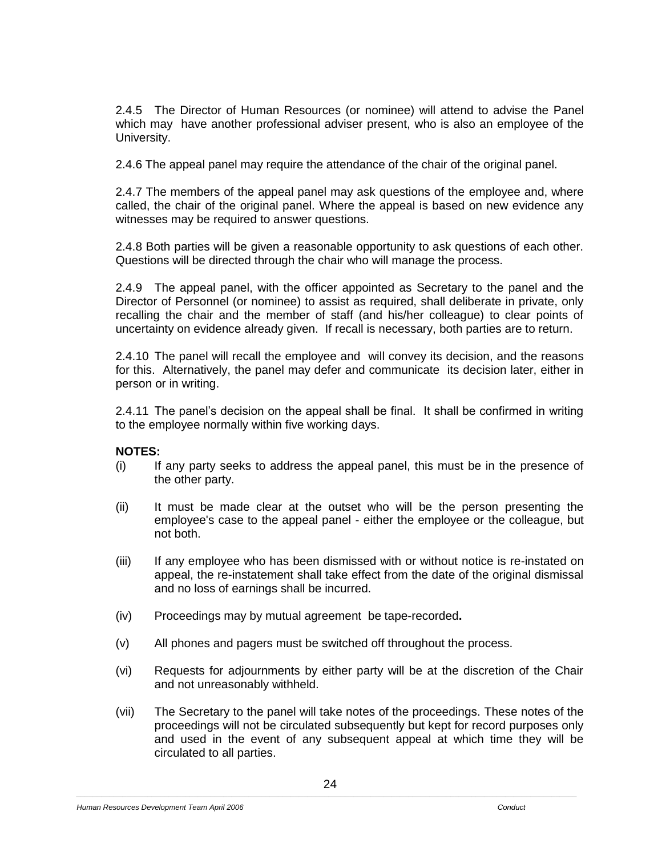2.4.5 The Director of Human Resources (or nominee) will attend to advise the Panel which may have another professional adviser present, who is also an employee of the University.

2.4.6 The appeal panel may require the attendance of the chair of the original panel.

2.4.7 The members of the appeal panel may ask questions of the employee and, where called, the chair of the original panel. Where the appeal is based on new evidence any witnesses may be required to answer questions.

2.4.8 Both parties will be given a reasonable opportunity to ask questions of each other. Questions will be directed through the chair who will manage the process.

2.4.9 The appeal panel, with the officer appointed as Secretary to the panel and the Director of Personnel (or nominee) to assist as required, shall deliberate in private, only recalling the chair and the member of staff (and his/her colleague) to clear points of uncertainty on evidence already given. If recall is necessary, both parties are to return.

2.4.10 The panel will recall the employee and will convey its decision, and the reasons for this. Alternatively, the panel may defer and communicate its decision later, either in person or in writing.

2.4.11 The panel's decision on the appeal shall be final. It shall be confirmed in writing to the employee normally within five working days.

#### **NOTES:**

- (i) If any party seeks to address the appeal panel, this must be in the presence of the other party.
- (ii) It must be made clear at the outset who will be the person presenting the employee's case to the appeal panel - either the employee or the colleague, but not both.
- (iii) If any employee who has been dismissed with or without notice is re-instated on appeal, the re-instatement shall take effect from the date of the original dismissal and no loss of earnings shall be incurred.
- (iv) Proceedings may by mutual agreement be tape-recorded**.**
- (v) All phones and pagers must be switched off throughout the process.
- (vi) Requests for adjournments by either party will be at the discretion of the Chair and not unreasonably withheld.
- (vii) The Secretary to the panel will take notes of the proceedings. These notes of the proceedings will not be circulated subsequently but kept for record purposes only and used in the event of any subsequent appeal at which time they will be circulated to all parties.

#### *Human Resources Development Team April 2006 Conduct*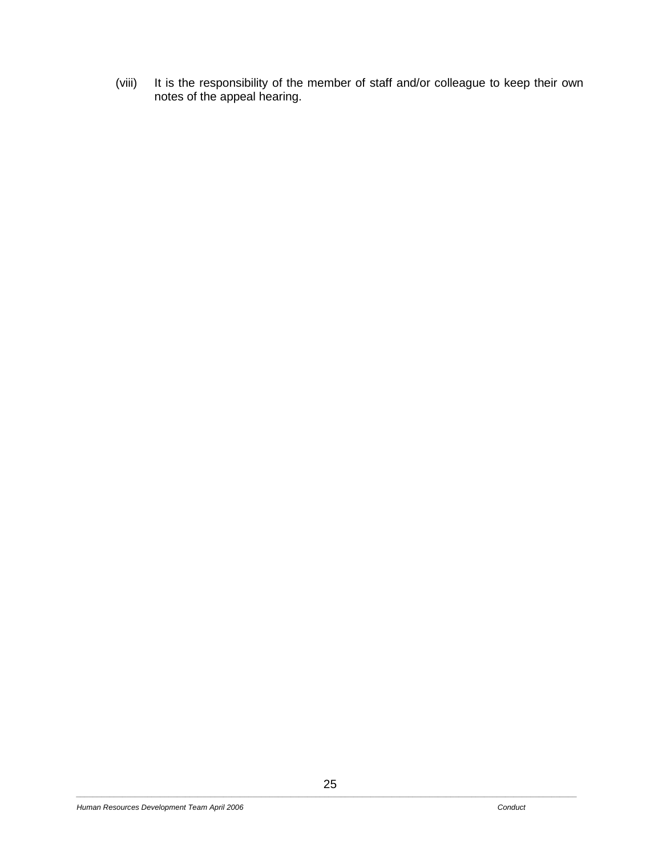(viii) It is the responsibility of the member of staff and/or colleague to keep their own notes of the appeal hearing.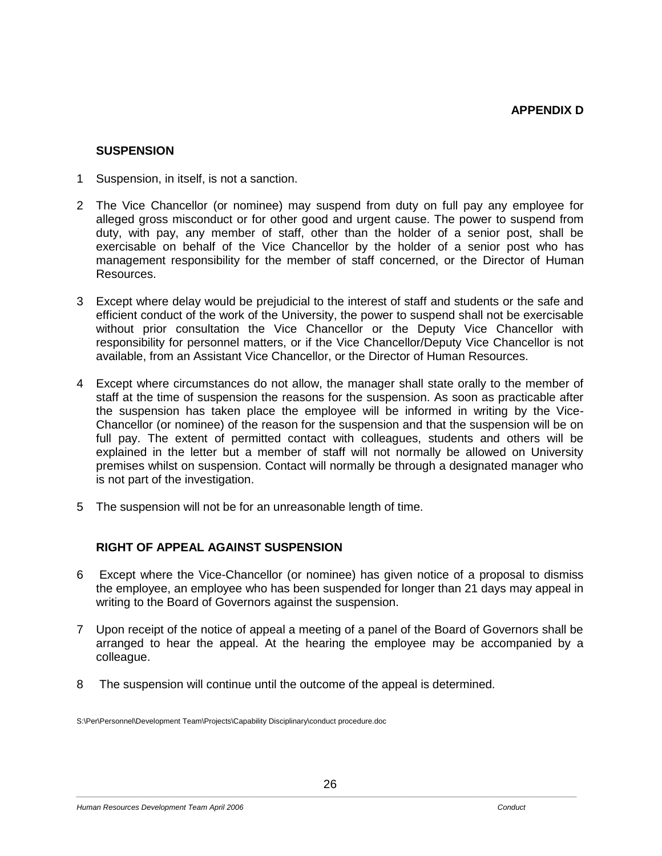#### **SUSPENSION**

- 1 Suspension, in itself, is not a sanction.
- 2 The Vice Chancellor (or nominee) may suspend from duty on full pay any employee for alleged gross misconduct or for other good and urgent cause. The power to suspend from duty, with pay, any member of staff, other than the holder of a senior post, shall be exercisable on behalf of the Vice Chancellor by the holder of a senior post who has management responsibility for the member of staff concerned, or the Director of Human Resources.
- 3 Except where delay would be prejudicial to the interest of staff and students or the safe and efficient conduct of the work of the University, the power to suspend shall not be exercisable without prior consultation the Vice Chancellor or the Deputy Vice Chancellor with responsibility for personnel matters, or if the Vice Chancellor/Deputy Vice Chancellor is not available, from an Assistant Vice Chancellor, or the Director of Human Resources.
- 4 Except where circumstances do not allow, the manager shall state orally to the member of staff at the time of suspension the reasons for the suspension. As soon as practicable after the suspension has taken place the employee will be informed in writing by the Vice-Chancellor (or nominee) of the reason for the suspension and that the suspension will be on full pay. The extent of permitted contact with colleagues, students and others will be explained in the letter but a member of staff will not normally be allowed on University premises whilst on suspension. Contact will normally be through a designated manager who is not part of the investigation.
- 5 The suspension will not be for an unreasonable length of time.

#### **RIGHT OF APPEAL AGAINST SUSPENSION**

- 6 Except where the Vice-Chancellor (or nominee) has given notice of a proposal to dismiss the employee, an employee who has been suspended for longer than 21 days may appeal in writing to the Board of Governors against the suspension.
- 7 Upon receipt of the notice of appeal a meeting of a panel of the Board of Governors shall be arranged to hear the appeal. At the hearing the employee may be accompanied by a colleague.
- 8 The suspension will continue until the outcome of the appeal is determined.

S:\Per\Personnel\Development Team\Projects\Capability Disciplinary\conduct procedure.doc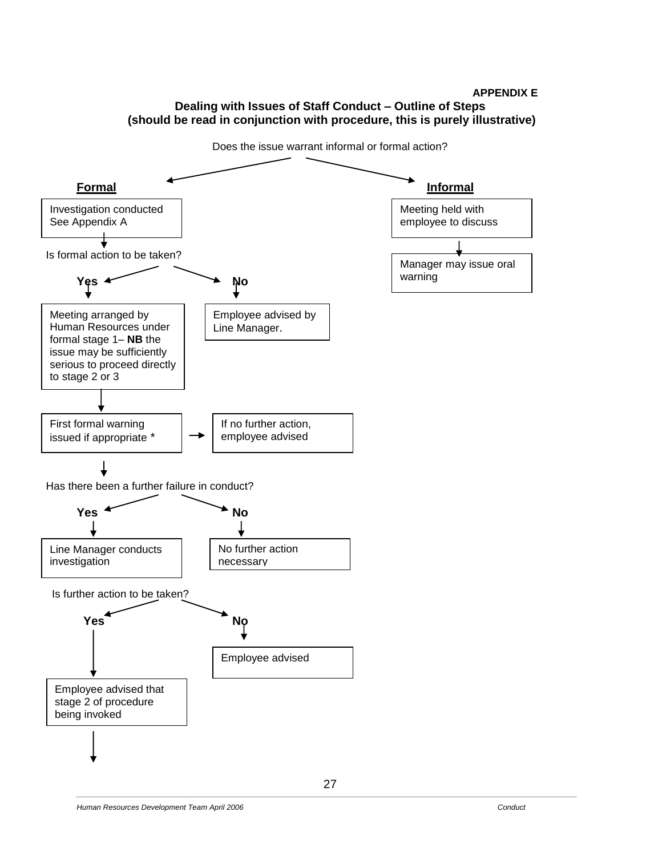#### **APPENDIX E Dealing with Issues of Staff Conduct – Outline of Steps (should be read in conjunction with procedure, this is purely illustrative)**